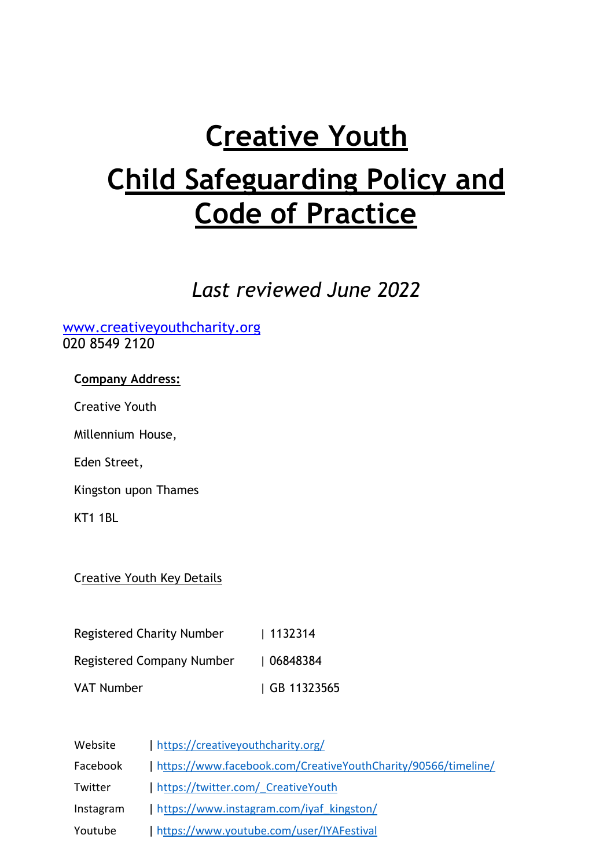# **Creative Youth Child Safeguarding Policy and Code of Practice**

# *Last reviewed June 2022*

# [www.creativeyouthcharity.org](http://www.creativeyouthcharity.org/) 020 8549 2120

# **Company Address:**

Creative Youth

Millennium House,

Eden Street,

Kingston upon Thames

KT1 1BL

# Creative Youth Key Details

| <b>Registered Charity Number</b> | 1132314     |
|----------------------------------|-------------|
| Registered Company Number        | 06848384    |
| VAT Number                       | GB 11323565 |

| Website   | https://creativeyouthcharity.org/                             |
|-----------|---------------------------------------------------------------|
| Facebook  | https://www.facebook.com/CreativeYouthCharity/90566/timeline/ |
| Twitter   | https://twitter.com/ CreativeYouth                            |
| Instagram | https://www.instagram.com/iyaf_kingston/                      |
| Youtube   | https://www.youtube.com/user/IYAFestival                      |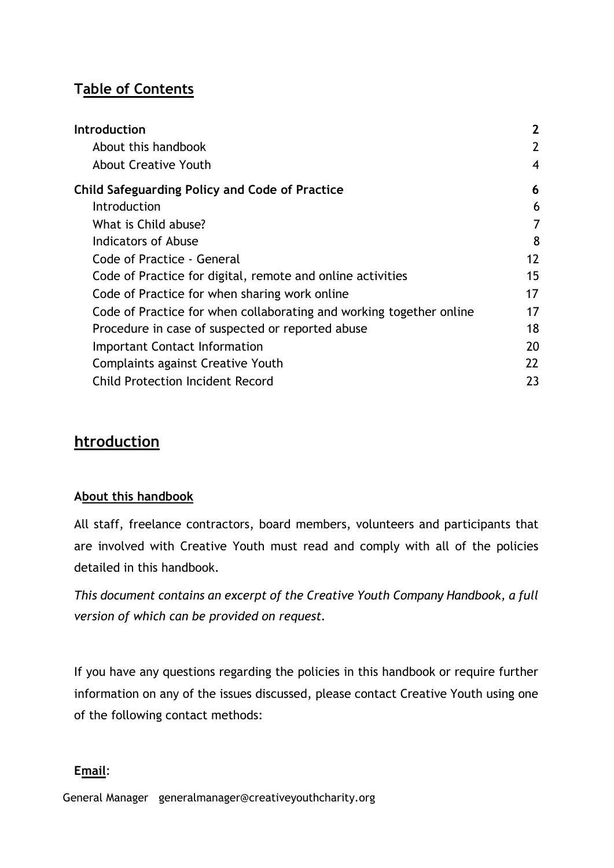# **Table of Contents**

| <b>Introduction</b>                                                 | $\mathbf{2}$      |
|---------------------------------------------------------------------|-------------------|
| About this handbook                                                 | $\overline{2}$    |
| <b>About Creative Youth</b>                                         | $\boldsymbol{4}$  |
| <b>Child Safeguarding Policy and Code of Practice</b>               | 6                 |
| Introduction                                                        | 6                 |
| What is Child abuse?                                                | 7                 |
| Indicators of Abuse                                                 | 8                 |
| Code of Practice - General                                          | $12 \overline{ }$ |
| Code of Practice for digital, remote and online activities          | 15                |
| Code of Practice for when sharing work online                       | 17                |
| Code of Practice for when collaborating and working together online | 17                |
| Procedure in case of suspected or reported abuse                    | 18                |
| <b>Important Contact Information</b>                                | 20                |
| <b>Complaints against Creative Youth</b>                            | 22                |
| <b>Child Protection Incident Record</b>                             | 23                |

# <span id="page-1-0"></span>**I ntroduction**

# <span id="page-1-1"></span>**About this handbook**

All staff, freelance contractors, board members, volunteers and participants that are involved with Creative Youth must read and comply with all of the policies detailed in this handbook.

*This document contains an excerpt of the Creative Youth Company Handbook, a full version of which can be provided on request.*

If you have any questions regarding the policies in this handbook or require further information on any of the issues discussed, please contact Creative Youth using one of the following contact methods:

# **Email**:

General Manager generalmanager@creativeyouthcharity.org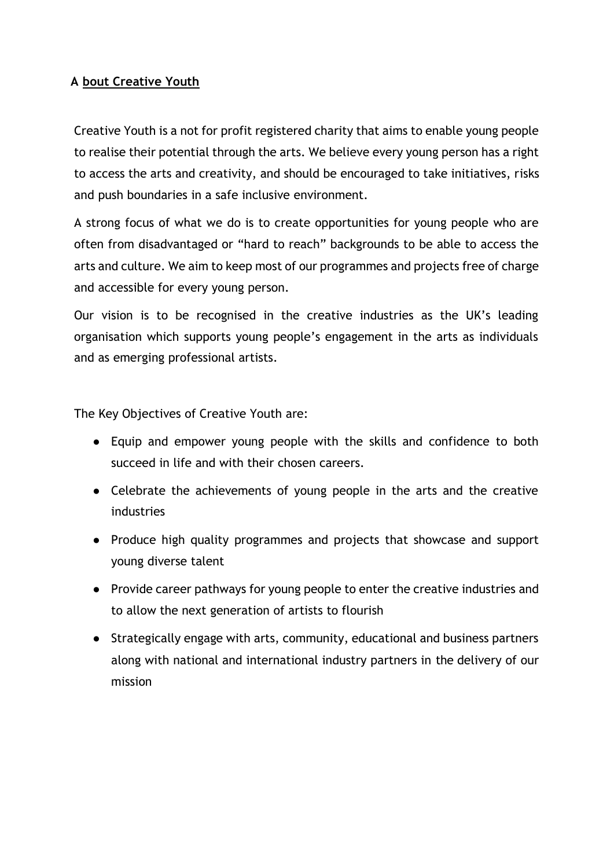# <span id="page-3-0"></span>**A bout Creative Youth**

Creative Youth is a not for profit registered charity that aims to enable young people to realise their potential through the arts. We believe every young person has a right to access the arts and creativity, and should be encouraged to take initiatives, risks and push boundaries in a safe inclusive environment.

A strong focus of what we do is to create opportunities for young people who are often from disadvantaged or "hard to reach" backgrounds to be able to access the arts and culture. We aim to keep most of our programmes and projects free of charge and accessible for every young person.

Our vision is to be recognised in the creative industries as the UK's leading organisation which supports young people's engagement in the arts as individuals and as emerging professional artists.

The Key Objectives of Creative Youth are:

- Equip and empower young people with the skills and confidence to both succeed in life and with their chosen careers.
- Celebrate the achievements of young people in the arts and the creative industries
- Produce high quality programmes and projects that showcase and support young diverse talent
- Provide career pathways for young people to enter the creative industries and to allow the next generation of artists to flourish
- Strategically engage with arts, community, educational and business partners along with national and international industry partners in the delivery of our mission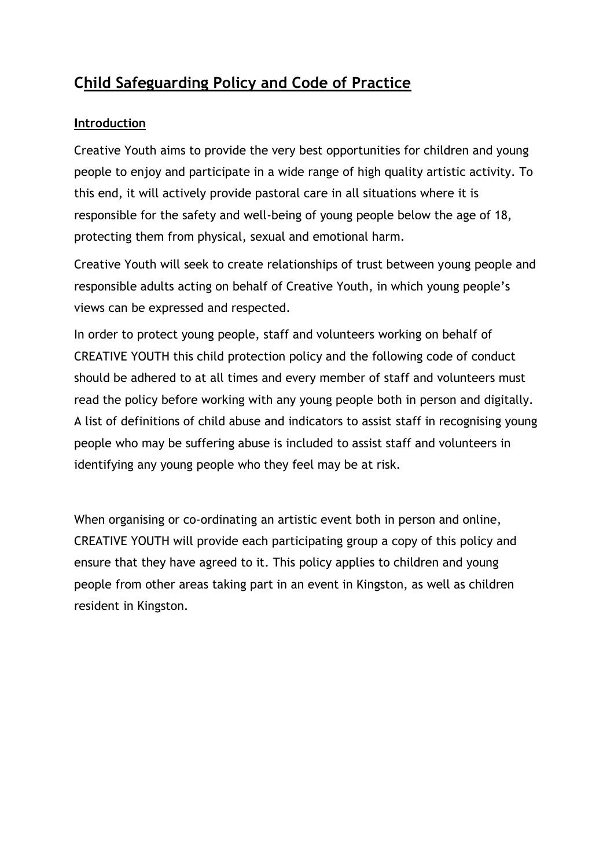# <span id="page-5-0"></span>**Child Safeguarding Policy and Code of Practice**

# <span id="page-5-1"></span>**Introduction**

Creative Youth aims to provide the very best opportunities for children and young people to enjoy and participate in a wide range of high quality artistic activity. To this end, it will actively provide pastoral care in all situations where it is responsible for the safety and well-being of young people below the age of 18, protecting them from physical, sexual and emotional harm.

Creative Youth will seek to create relationships of trust between young people and responsible adults acting on behalf of Creative Youth, in which young people's views can be expressed and respected.

In order to protect young people, staff and volunteers working on behalf of CREATIVE YOUTH this child protection policy and the following code of conduct should be adhered to at all times and every member of staff and volunteers must read the policy before working with any young people both in person and digitally. A list of definitions of child abuse and indicators to assist staff in recognising young people who may be suffering abuse is included to assist staff and volunteers in identifying any young people who they feel may be at risk.

When organising or co-ordinating an artistic event both in person and online, CREATIVE YOUTH will provide each participating group a copy of this policy and ensure that they have agreed to it. This policy applies to children and young people from other areas taking part in an event in Kingston, as well as children resident in Kingston.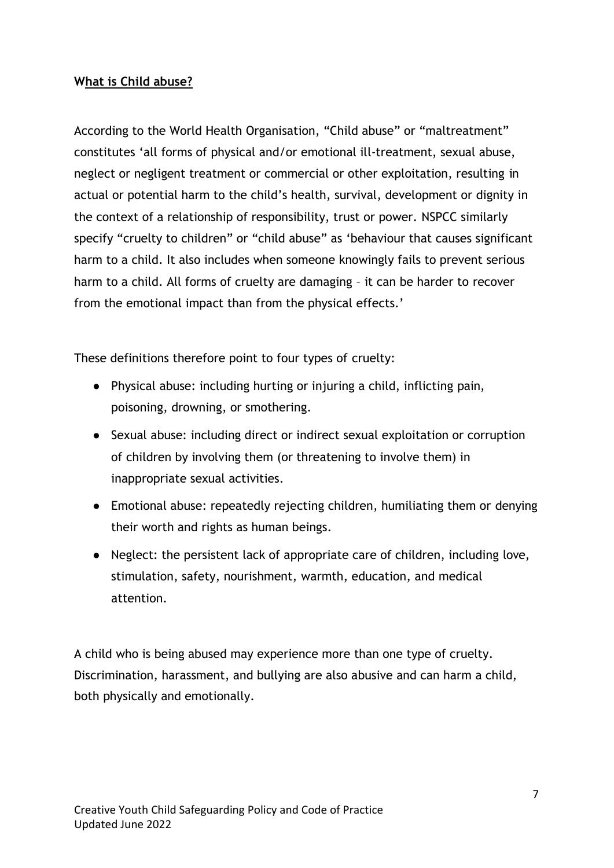# <span id="page-6-0"></span>**What is Child abuse?**

According to the World Health Organisation, "Child abuse" or "maltreatment" constitutes 'all forms of physical and/or emotional ill-treatment, sexual abuse, neglect or negligent treatment or commercial or other exploitation, resulting in actual or potential harm to the child's health, survival, development or dignity in the context of a relationship of responsibility, trust or power. NSPCC similarly specify "cruelty to children" or "child abuse" as 'behaviour that causes significant harm to a child. It also includes when someone knowingly fails to prevent serious harm to a child. All forms of cruelty are damaging – it can be harder to recover from the emotional impact than from the physical effects.'

These definitions therefore point to four types of cruelty:

- Physical abuse: including hurting or injuring a child, inflicting pain, poisoning, drowning, or smothering.
- Sexual abuse: including direct or indirect sexual exploitation or corruption of children by involving them (or threatening to involve them) in inappropriate sexual activities.
- Emotional abuse: repeatedly rejecting children, humiliating them or denying their worth and rights as human beings.
- Neglect: the persistent lack of appropriate care of children, including love, stimulation, safety, nourishment, warmth, education, and medical attention.

A child who is being abused may experience more than one type of cruelty. Discrimination, harassment, and bullying are also abusive and can harm a child, both physically and emotionally.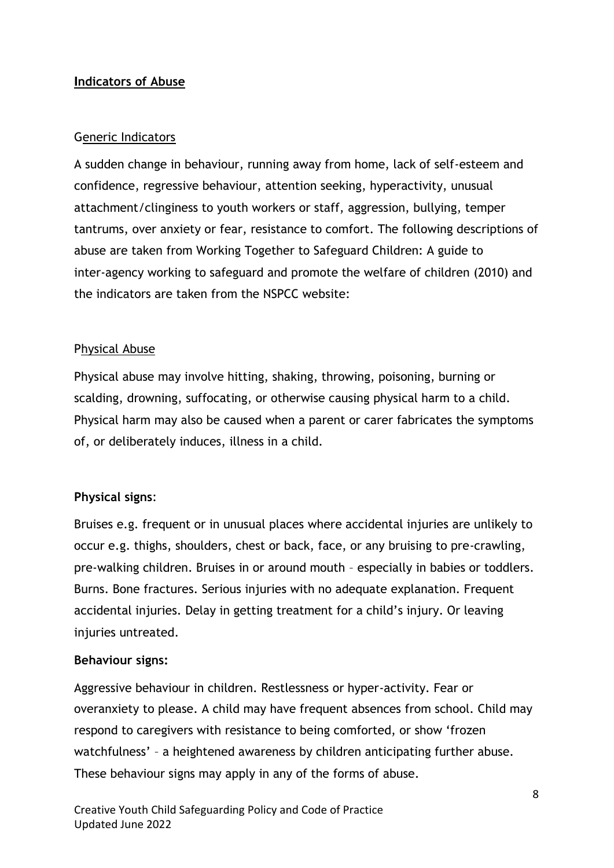# <span id="page-7-0"></span>**Indicators of Abuse**

#### Generic Indicators

A sudden change in behaviour, running away from home, lack of self-esteem and confidence, regressive behaviour, attention seeking, hyperactivity, unusual attachment/clinginess to youth workers or staff, aggression, bullying, temper tantrums, over anxiety or fear, resistance to comfort. The following descriptions of abuse are taken from Working Together to Safeguard Children: A guide to inter-agency working to safeguard and promote the welfare of children (2010) and the indicators are taken from the NSPCC website:

#### Physical Abuse

Physical abuse may involve hitting, shaking, throwing, poisoning, burning or scalding, drowning, suffocating, or otherwise causing physical harm to a child. Physical harm may also be caused when a parent or carer fabricates the symptoms of, or deliberately induces, illness in a child.

#### **Physical signs**:

Bruises e.g. frequent or in unusual places where accidental injuries are unlikely to occur e.g. thighs, shoulders, chest or back, face, or any bruising to pre-crawling, pre-walking children. Bruises in or around mouth – especially in babies or toddlers. Burns. Bone fractures. Serious injuries with no adequate explanation. Frequent accidental injuries. Delay in getting treatment for a child's injury. Or leaving injuries untreated.

#### **Behaviour signs:**

Aggressive behaviour in children. Restlessness or hyper-activity. Fear or overanxiety to please. A child may have frequent absences from school. Child may respond to caregivers with resistance to being comforted, or show 'frozen watchfulness' – a heightened awareness by children anticipating further abuse. These behaviour signs may apply in any of the forms of abuse.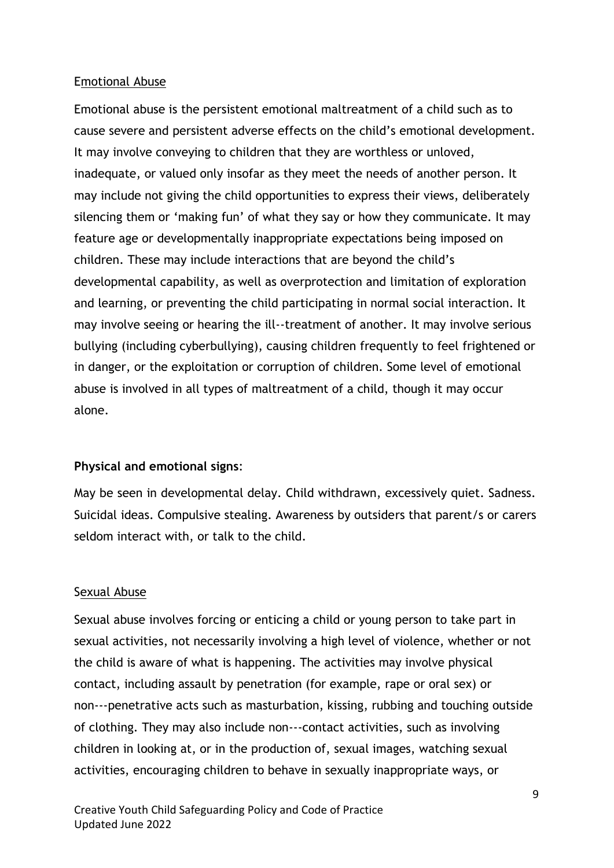#### Emotional Abuse

Emotional abuse is the persistent emotional maltreatment of a child such as to cause severe and persistent adverse effects on the child's emotional development. It may involve conveying to children that they are worthless or unloved, inadequate, or valued only insofar as they meet the needs of another person. It may include not giving the child opportunities to express their views, deliberately silencing them or 'making fun' of what they say or how they communicate. It may feature age or developmentally inappropriate expectations being imposed on children. These may include interactions that are beyond the child's developmental capability, as well as overprotection and limitation of exploration and learning, or preventing the child participating in normal social interaction. It may involve seeing or hearing the ill--treatment of another. It may involve serious bullying (including cyberbullying), causing children frequently to feel frightened or in danger, or the exploitation or corruption of children. Some level of emotional abuse is involved in all types of maltreatment of a child, though it may occur alone.

# **Physical and emotional signs**:

May be seen in developmental delay. Child withdrawn, excessively quiet. Sadness. Suicidal ideas. Compulsive stealing. Awareness by outsiders that parent/s or carers seldom interact with, or talk to the child.

# Sexual Abuse

Sexual abuse involves forcing or enticing a child or young person to take part in sexual activities, not necessarily involving a high level of violence, whether or not the child is aware of what is happening. The activities may involve physical contact, including assault by penetration (for example, rape or oral sex) or non---penetrative acts such as masturbation, kissing, rubbing and touching outside of clothing. They may also include non---contact activities, such as involving children in looking at, or in the production of, sexual images, watching sexual activities, encouraging children to behave in sexually inappropriate ways, or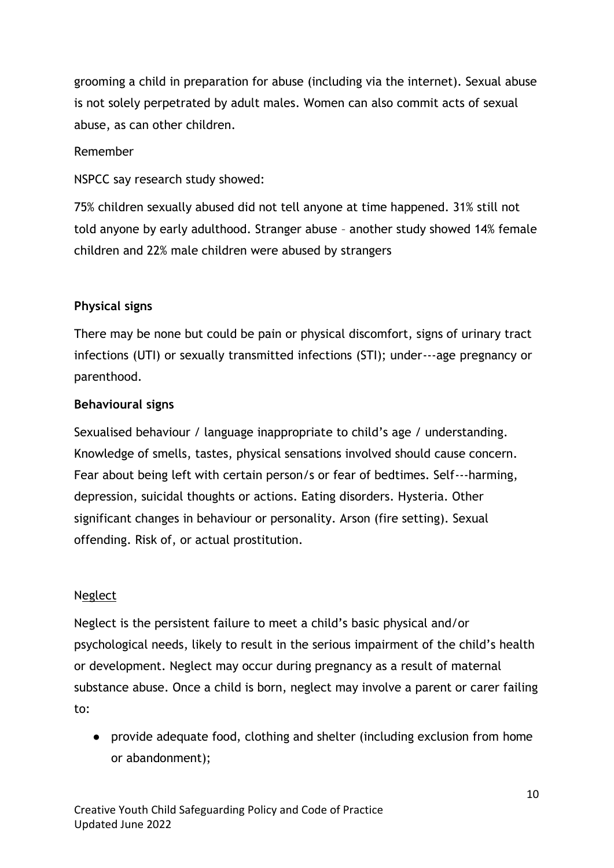grooming a child in preparation for abuse (including via the internet). Sexual abuse is not solely perpetrated by adult males. Women can also commit acts of sexual abuse, as can other children.

#### Remember

NSPCC say research study showed:

75% children sexually abused did not tell anyone at time happened. 31% still not told anyone by early adulthood. Stranger abuse – another study showed 14% female children and 22% male children were abused by strangers

#### **Physical signs**

There may be none but could be pain or physical discomfort, signs of urinary tract infections (UTI) or sexually transmitted infections (STI); under---age pregnancy or parenthood.

#### **Behavioural signs**

Sexualised behaviour / language inappropriate to child's age / understanding. Knowledge of smells, tastes, physical sensations involved should cause concern. Fear about being left with certain person/s or fear of bedtimes. Self---harming, depression, suicidal thoughts or actions. Eating disorders. Hysteria. Other significant changes in behaviour or personality. Arson (fire setting). Sexual offending. Risk of, or actual prostitution.

#### Neglect

Neglect is the persistent failure to meet a child's basic physical and/or psychological needs, likely to result in the serious impairment of the child's health or development. Neglect may occur during pregnancy as a result of maternal substance abuse. Once a child is born, neglect may involve a parent or carer failing to:

• provide adequate food, clothing and shelter (including exclusion from home or abandonment);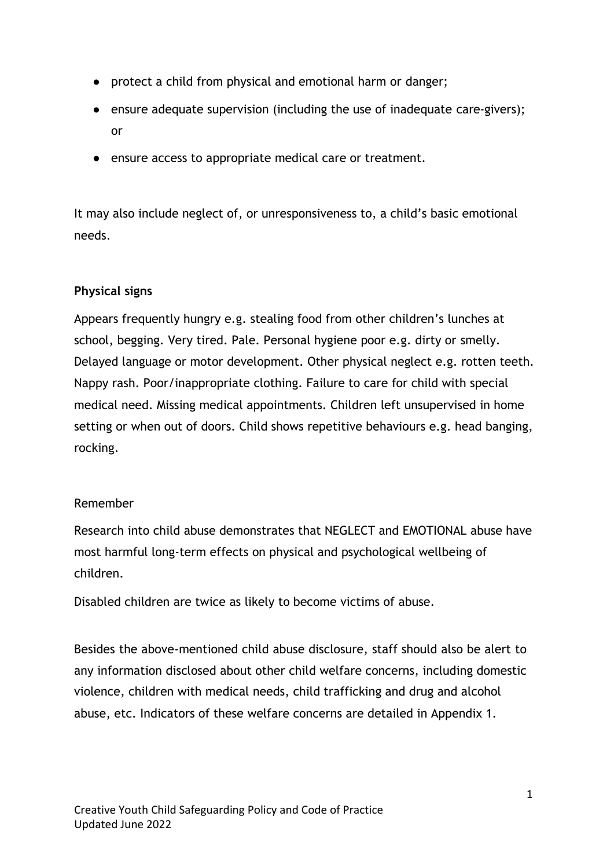- protect a child from physical and emotional harm or danger;
- ensure adequate supervision (including the use of inadequate care-givers); or
- ensure access to appropriate medical care or treatment.

It may also include neglect of, or unresponsiveness to, a child's basic emotional needs.

# **Physical signs**

Appears frequently hungry e.g. stealing food from other children's lunches at school, begging. Very tired. Pale. Personal hygiene poor e.g. dirty or smelly. Delayed language or motor development. Other physical neglect e.g. rotten teeth. Nappy rash. Poor/inappropriate clothing. Failure to care for child with special medical need. Missing medical appointments. Children left unsupervised in home setting or when out of doors. Child shows repetitive behaviours e.g. head banging, rocking.

# Remember

Research into child abuse demonstrates that NEGLECT and EMOTIONAL abuse have most harmful long-term effects on physical and psychological wellbeing of children.

Disabled children are twice as likely to become victims of abuse.

Besides the above-mentioned child abuse disclosure, staff should also be alert to any information disclosed about other child welfare concerns, including domestic violence, children with medical needs, child trafficking and drug and alcohol abuse, etc. Indicators of these welfare concerns are detailed in Appendix 1.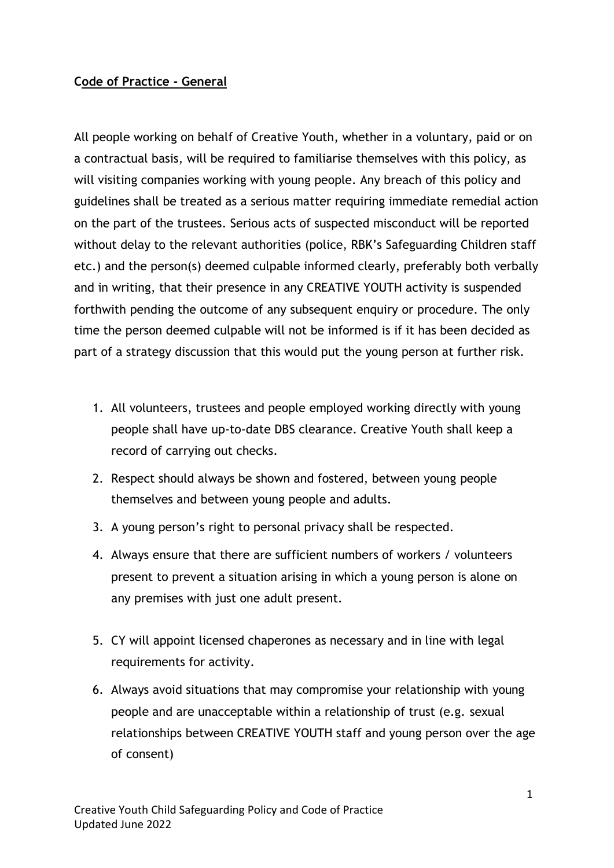# <span id="page-11-0"></span>**Code of Practice - General**

All people working on behalf of Creative Youth, whether in a voluntary, paid or on a contractual basis, will be required to familiarise themselves with this policy, as will visiting companies working with young people. Any breach of this policy and guidelines shall be treated as a serious matter requiring immediate remedial action on the part of the trustees. Serious acts of suspected misconduct will be reported without delay to the relevant authorities (police, RBK's Safeguarding Children staff etc.) and the person(s) deemed culpable informed clearly, preferably both verbally and in writing, that their presence in any CREATIVE YOUTH activity is suspended forthwith pending the outcome of any subsequent enquiry or procedure. The only time the person deemed culpable will not be informed is if it has been decided as part of a strategy discussion that this would put the young person at further risk.

- 1. All volunteers, trustees and people employed working directly with young people shall have up-to-date DBS clearance. Creative Youth shall keep a record of carrying out checks.
- 2. Respect should always be shown and fostered, between young people themselves and between young people and adults.
- 3. A young person's right to personal privacy shall be respected.
- 4. Always ensure that there are sufficient numbers of workers / volunteers present to prevent a situation arising in which a young person is alone on any premises with just one adult present.
- 5. CY will appoint licensed chaperones as necessary and in line with legal requirements for activity.
- 6. Always avoid situations that may compromise your relationship with young people and are unacceptable within a relationship of trust (e.g. sexual relationships between CREATIVE YOUTH staff and young person over the age of consent)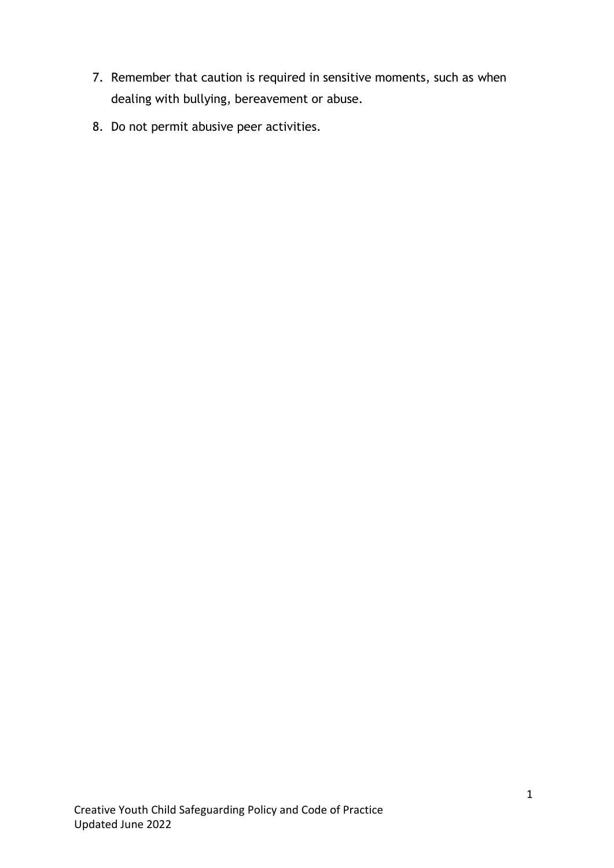- 7. Remember that caution is required in sensitive moments, such as when dealing with bullying, bereavement or abuse.
- 8. Do not permit abusive peer activities.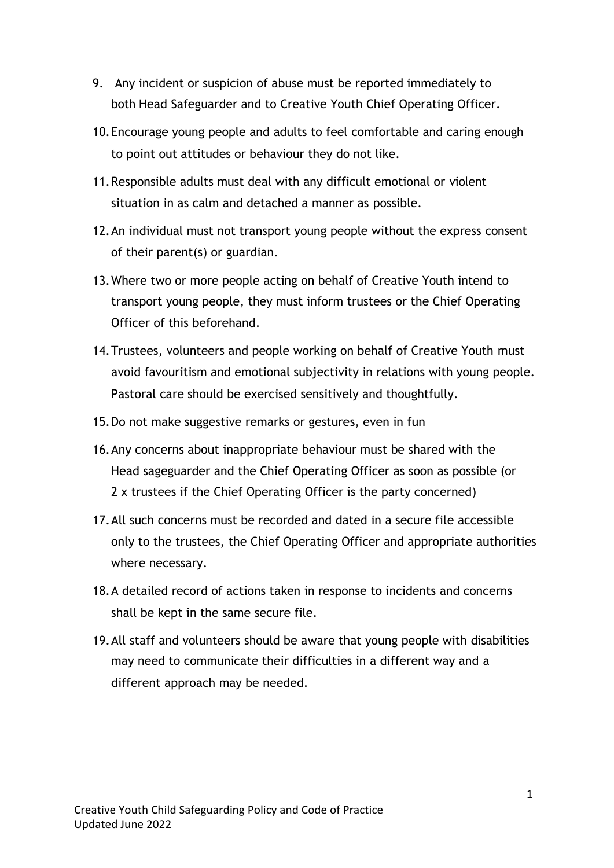- 9. Any incident or suspicion of abuse must be reported immediately to both Head Safeguarder and to Creative Youth Chief Operating Officer.
- 10.Encourage young people and adults to feel comfortable and caring enough to point out attitudes or behaviour they do not like.
- 11.Responsible adults must deal with any difficult emotional or violent situation in as calm and detached a manner as possible.
- 12.An individual must not transport young people without the express consent of their parent(s) or guardian.
- 13.Where two or more people acting on behalf of Creative Youth intend to transport young people, they must inform trustees or the Chief Operating Officer of this beforehand.
- 14.Trustees, volunteers and people working on behalf of Creative Youth must avoid favouritism and emotional subjectivity in relations with young people. Pastoral care should be exercised sensitively and thoughtfully.
- 15.Do not make suggestive remarks or gestures, even in fun
- 16.Any concerns about inappropriate behaviour must be shared with the Head sageguarder and the Chief Operating Officer as soon as possible (or 2 x trustees if the Chief Operating Officer is the party concerned)
- 17.All such concerns must be recorded and dated in a secure file accessible only to the trustees, the Chief Operating Officer and appropriate authorities where necessary.
- 18.A detailed record of actions taken in response to incidents and concerns shall be kept in the same secure file.
- 19.All staff and volunteers should be aware that young people with disabilities may need to communicate their difficulties in a different way and a different approach may be needed.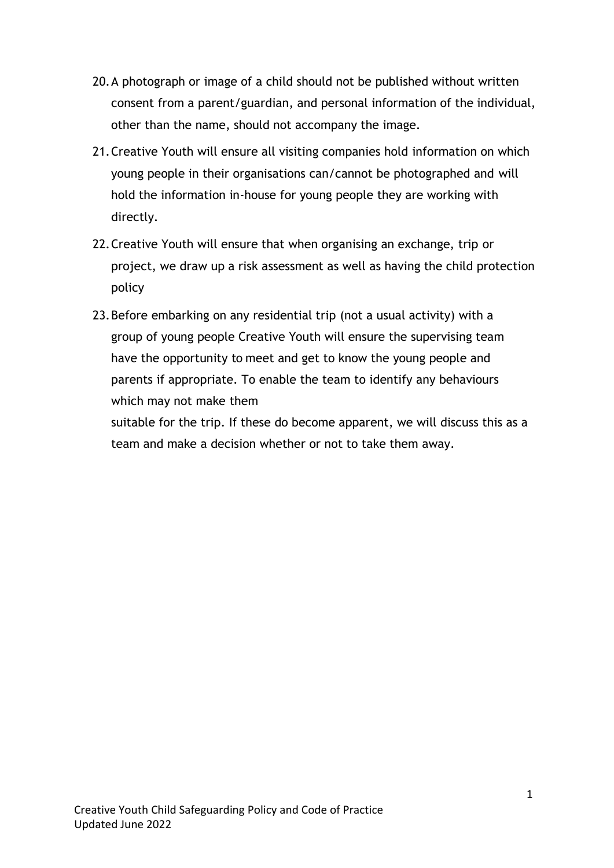- 20.A photograph or image of a child should not be published without written consent from a parent/guardian, and personal information of the individual, other than the name, should not accompany the image.
- 21.Creative Youth will ensure all visiting companies hold information on which young people in their organisations can/cannot be photographed and will hold the information in-house for young people they are working with directly.
- 22.Creative Youth will ensure that when organising an exchange, trip or project, we draw up a risk assessment as well as having the child protection policy
- 23.Before embarking on any residential trip (not a usual activity) with a group of young people Creative Youth will ensure the supervising team have the opportunity to meet and get to know the young people and parents if appropriate. To enable the team to identify any behaviours which may not make them

suitable for the trip. If these do become apparent, we will discuss this as a team and make a decision whether or not to take them away.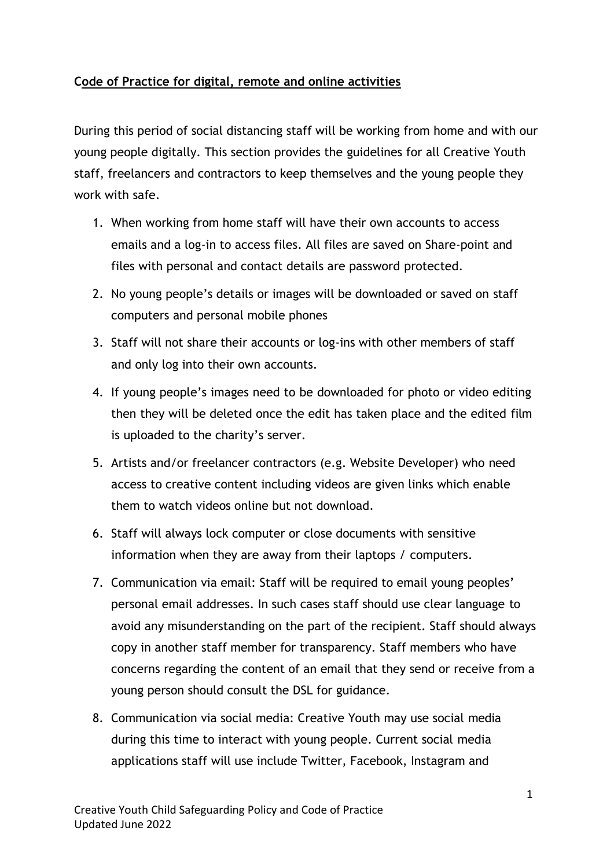# <span id="page-15-0"></span>**Code of Practice for digital, remote and online activities**

During this period of social distancing staff will be working from home and with our young people digitally. This section provides the guidelines for all Creative Youth staff, freelancers and contractors to keep themselves and the young people they work with safe.

- 1. When working from home staff will have their own accounts to access emails and a log-in to access files. All files are saved on Share-point and files with personal and contact details are password protected.
- 2. No young people's details or images will be downloaded or saved on staff computers and personal mobile phones
- 3. Staff will not share their accounts or log-ins with other members of staff and only log into their own accounts.
- 4. If young people's images need to be downloaded for photo or video editing then they will be deleted once the edit has taken place and the edited film is uploaded to the charity's server.
- 5. Artists and/or freelancer contractors (e.g. Website Developer) who need access to creative content including videos are given links which enable them to watch videos online but not download.
- 6. Staff will always lock computer or close documents with sensitive information when they are away from their laptops / computers.
- 7. Communication via email: Staff will be required to email young peoples' personal email addresses. In such cases staff should use clear language to avoid any misunderstanding on the part of the recipient. Staff should always copy in another staff member for transparency. Staff members who have concerns regarding the content of an email that they send or receive from a young person should consult the DSL for guidance.
- 8. Communication via social media: Creative Youth may use social media during this time to interact with young people. Current social media applications staff will use include Twitter, Facebook, Instagram and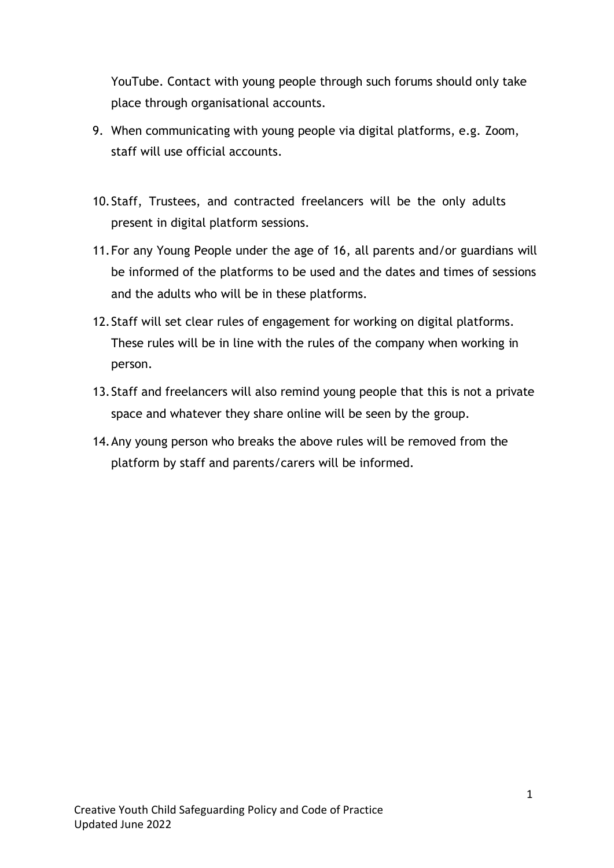YouTube. Contact with young people through such forums should only take place through organisational accounts.

- 9. When communicating with young people via digital platforms, e.g. Zoom, staff will use official accounts.
- 10.Staff, Trustees, and contracted freelancers will be the only adults present in digital platform sessions.
- 11.For any Young People under the age of 16, all parents and/or guardians will be informed of the platforms to be used and the dates and times of sessions and the adults who will be in these platforms.
- 12.Staff will set clear rules of engagement for working on digital platforms. These rules will be in line with the rules of the company when working in person.
- 13.Staff and freelancers will also remind young people that this is not a private space and whatever they share online will be seen by the group.
- 14.Any young person who breaks the above rules will be removed from the platform by staff and parents/carers will be informed.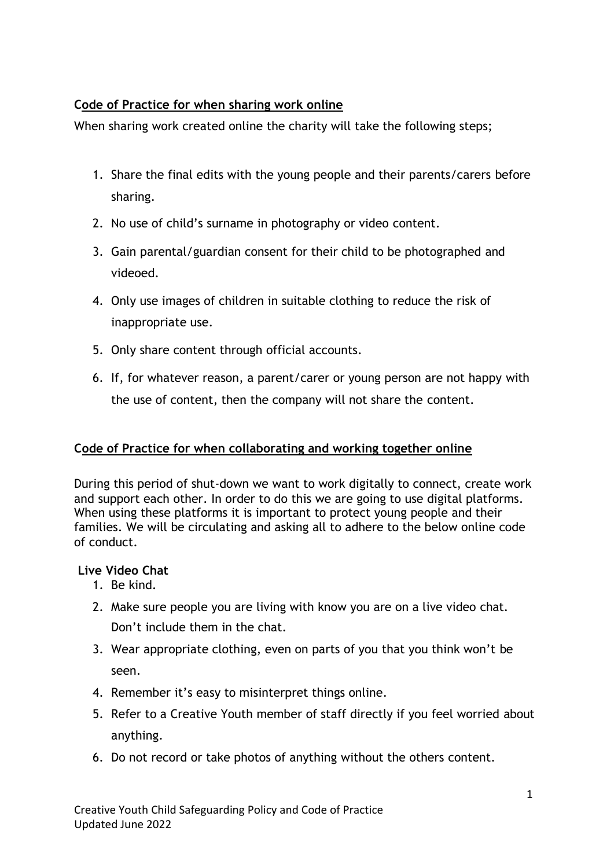# <span id="page-17-0"></span>**Code of Practice for when sharing work online**

When sharing work created online the charity will take the following steps;

- 1. Share the final edits with the young people and their parents/carers before sharing.
- 2. No use of child's surname in photography or video content.
- 3. Gain parental/guardian consent for their child to be photographed and videoed.
- 4. Only use images of children in suitable clothing to reduce the risk of inappropriate use.
- 5. Only share content through official accounts.
- 6. If, for whatever reason, a parent/carer or young person are not happy with the use of content, then the company will not share the content.

# <span id="page-17-1"></span>**Code of Practice for when collaborating and working together online**

During this period of shut-down we want to work digitally to connect, create work and support each other. In order to do this we are going to use digital platforms. When using these platforms it is important to protect young people and their families. We will be circulating and asking all to adhere to the below online code of conduct.

# **Live Video Chat**

- 1. Be kind.
- 2. Make sure people you are living with know you are on a live video chat. Don't include them in the chat.
- 3. Wear appropriate clothing, even on parts of you that you think won't be seen.
- 4. Remember it's easy to misinterpret things online.
- 5. Refer to a Creative Youth member of staff directly if you feel worried about anything.
- 6. Do not record or take photos of anything without the others content.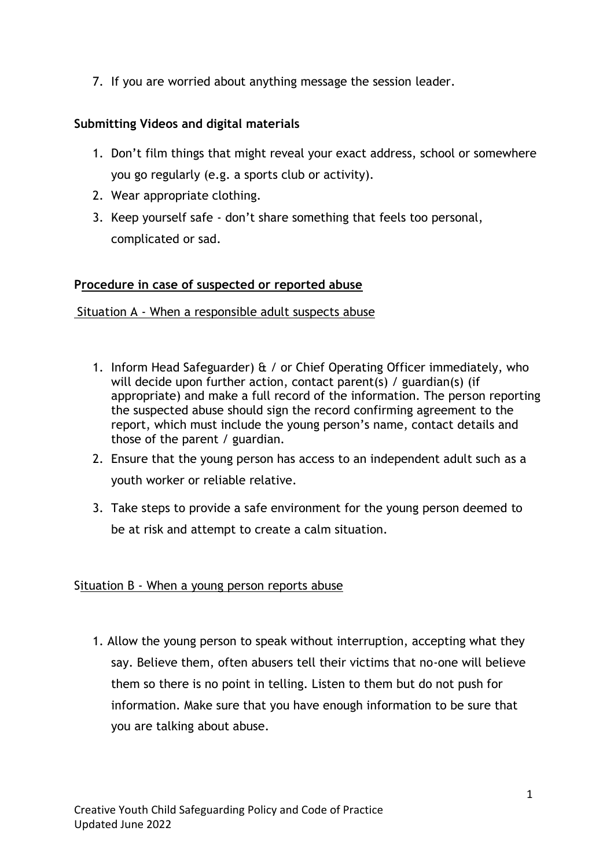7. If you are worried about anything message the session leader.

# **Submitting Videos and digital materials**

- 1. Don't film things that might reveal your exact address, school or somewhere you go regularly (e.g. a sports club or activity).
- 2. Wear appropriate clothing.
- 3. Keep yourself safe don't share something that feels too personal, complicated or sad.

# <span id="page-18-0"></span>**Procedure in case of suspected or reported abuse**

# Situation A - When a responsible adult suspects abuse

- 1. Inform Head Safeguarder) & / or Chief Operating Officer immediately, who will decide upon further action, contact parent(s) / guardian(s) (if appropriate) and make a full record of the information. The person reporting the suspected abuse should sign the record confirming agreement to the report, which must include the young person's name, contact details and those of the parent / guardian.
- 2. Ensure that the young person has access to an independent adult such as a youth worker or reliable relative.
- 3. Take steps to provide a safe environment for the young person deemed to be at risk and attempt to create a calm situation.

#### Situation B - When a young person reports abuse

1. Allow the young person to speak without interruption, accepting what they say. Believe them, often abusers tell their victims that no-one will believe them so there is no point in telling. Listen to them but do not push for information. Make sure that you have enough information to be sure that you are talking about abuse.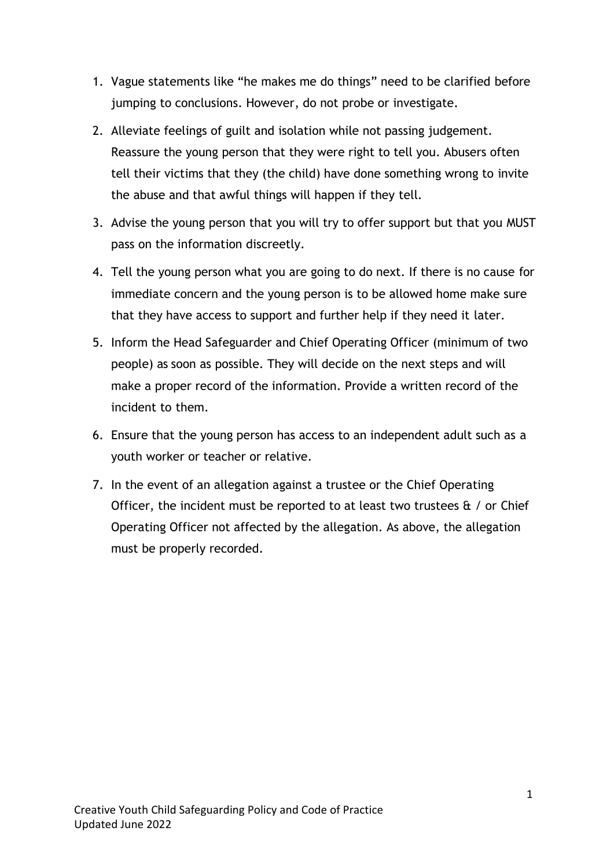- 1. Vague statements like "he makes me do things" need to be clarified before jumping to conclusions. However, do not probe or investigate.
- 2. Alleviate feelings of guilt and isolation while not passing judgement. Reassure the young person that they were right to tell you. Abusers often tell their victims that they (the child) have done something wrong to invite the abuse and that awful things will happen if they tell.
- 3. Advise the young person that you will try to offer support but that you MUST pass on the information discreetly.
- 4. Tell the young person what you are going to do next. If there is no cause for immediate concern and the young person is to be allowed home make sure that they have access to support and further help if they need it later.
- 5. Inform the Head Safeguarder and Chief Operating Officer (minimum of two people) as soon as possible. They will decide on the next steps and will make a proper record of the information. Provide a written record of the incident to them.
- 6. Ensure that the young person has access to an independent adult such as a youth worker or teacher or relative.
- 7. In the event of an allegation against a trustee or the Chief Operating Officer, the incident must be reported to at least two trustees  $\mathbf{\hat{a}}$  / or Chief Operating Officer not affected by the allegation. As above, the allegation must be properly recorded.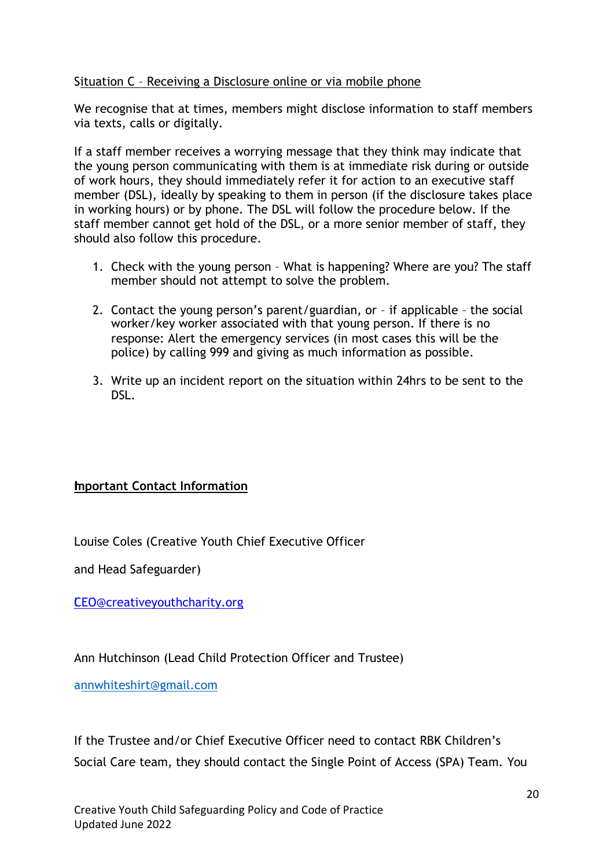# Situation C – Receiving a Disclosure online or via mobile phone

We recognise that at times, members might disclose information to staff members via texts, calls or digitally.

If a staff member receives a worrying message that they think may indicate that the young person communicating with them is at immediate risk during or outside of work hours, they should immediately refer it for action to an executive staff member (DSL), ideally by speaking to them in person (if the disclosure takes place in working hours) or by phone. The DSL will follow the procedure below. If the staff member cannot get hold of the DSL, or a more senior member of staff, they should also follow this procedure.

- 1. Check with the young person What is happening? Where are you? The staff member should not attempt to solve the problem.
- 2. Contact the young person's parent/guardian, or if applicable the social worker/key worker associated with that young person. If there is no response: Alert the emergency services (in most cases this will be the police) by calling 999 and giving as much information as possible.
- 3. Write up an incident report on the situation within 24hrs to be sent to the DSL.

# <span id="page-20-0"></span>**Important Contact Information**

Louise Coles (Creative Youth Chief Executive Officer

and Head Safeguarder)

**CEO@creativeyouthcharity.org** 

# Ann Hutchinson (Lead Child Protection Officer and Trustee)

[annwhiteshirt@gmail.com](mailto:annwhiteshirt@gmail.com)

If the Trustee and/or Chief Executive Officer need to contact RBK Children's Social Care team, they should contact the Single Point of Access (SPA) Team. You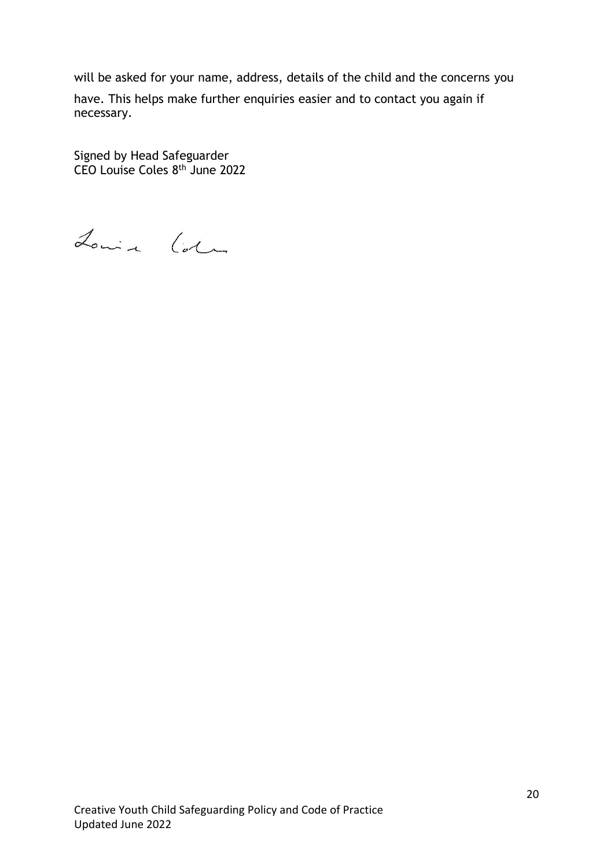will be asked for your name, address, details of the child and the concerns you have. This helps make further enquiries easier and to contact you again if necessary.

Signed by Head Safeguarder CEO Louise Coles 8th June 2022

Louis lot

Creative Youth Child Safeguarding Policy and Code of Practice Updated June 2022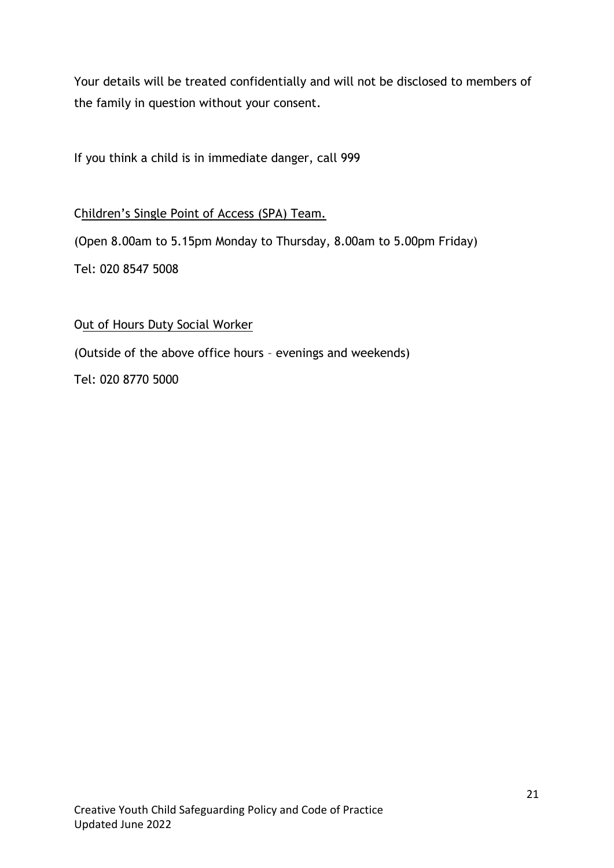Your details will be treated confidentially and will not be disclosed to members of the family in question without your consent.

If you think a child is in immediate danger, call 999

Children's Single Point of Access (SPA) Team.

(Open 8.00am to 5.15pm Monday to Thursday, 8.00am to 5.00pm Friday)

Tel: 020 8547 5008

Out of Hours Duty Social Worker

(Outside of the above office hours – evenings and weekends)

Tel: 020 8770 5000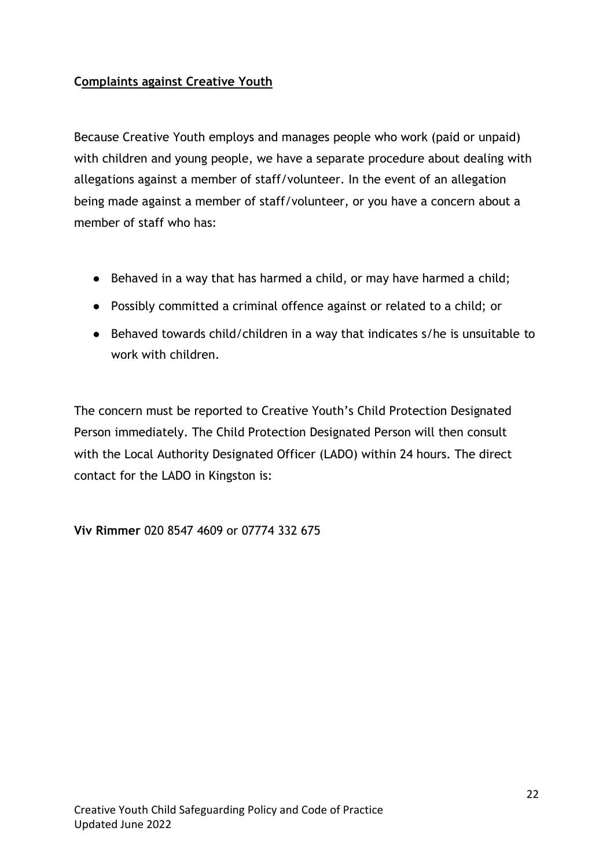# <span id="page-23-0"></span>**Complaints against Creative Youth**

Because Creative Youth employs and manages people who work (paid or unpaid) with children and young people, we have a separate procedure about dealing with allegations against a member of staff/volunteer. In the event of an allegation being made against a member of staff/volunteer, or you have a concern about a member of staff who has:

- Behaved in a way that has harmed a child, or may have harmed a child;
- Possibly committed a criminal offence against or related to a child; or
- Behaved towards child/children in a way that indicates s/he is unsuitable to work with children.

The concern must be reported to Creative Youth's Child Protection Designated Person immediately. The Child Protection Designated Person will then consult with the Local Authority Designated Officer (LADO) within 24 hours. The direct contact for the LADO in Kingston is:

**Viv Rimmer** 020 8547 4609 or 07774 332 675